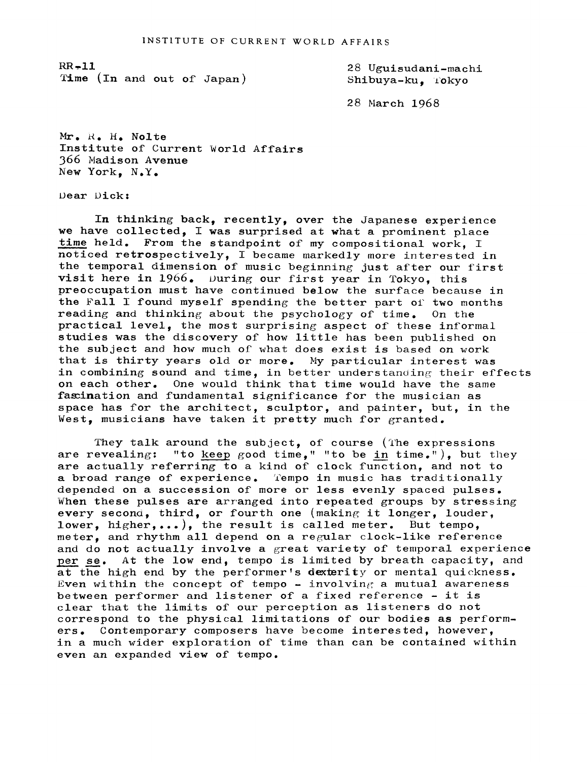$RR - 11$ Time (In and out of Japan) 28 Uguisudani-machi Shibuya-ku. Tokyo

28 March 1968

Mr. R. H. Nolte Institute of Current World Affairs 366 Madison Avenue New York, N.Y.

Dear Dick:

In thinking back, recently, over the Japanese experience we have collected, I was surprised at what a prominent place time held. From the standpoint of my compositional work. I noticed retrospectively, I became markedly more interested in the temporal dimension of music beginning just after our first visit here in  $1966.$  During our first year in Tokyo, this preoccupation must have continued below the surface because in the Fall I found myself spending the better part of two months reading and thinking about the psychology of time. On the practical level, the most surprising aspect of these informal studies was the discovery of how little has been published on the subject and how much of what does exist is based on work that is thirty years old or more. My particular interest was in combining sound and time, in better understanding their effects on each other. One would think that time would have the same fascination and fundamental significance for the musician as space has for the architect, sculptor, and painter, but, in the West, musicians have taken it pretty much for granted.

They talk around the subject, of course (The expressions are revealing: "to keep good time," "to be in time."), but t "to keep good time." "to be in time."), but they are actually referring to a kind of clock function, and not to a broad range of experience. Tempo in music has traditionally depended on a succession of more or less evenly spaced pulses. When these pulses are arranged into repeated groups by stressing every second, third, or fourth one (making it longer, louder, lower, higher,...), the result is called meter. But tempo, meter, and rhythm all depend on a regular clock-like reference and do not actually involve a great variety of temporal experience per se. At the low end, tempo is limited by breath capacity, and at the high end by the performer's dexterity or mental quickness. Even within the concept of tempo - involving a mutual awareness between performer and listener of a fixed reference - it is clear that the limits of our perception as listeners do not correspond to the physical limitations of our bodies as performers. Contemporary composers have become interested, however, in a much wider exploration of time than can be contained within even an expanded view of tempo.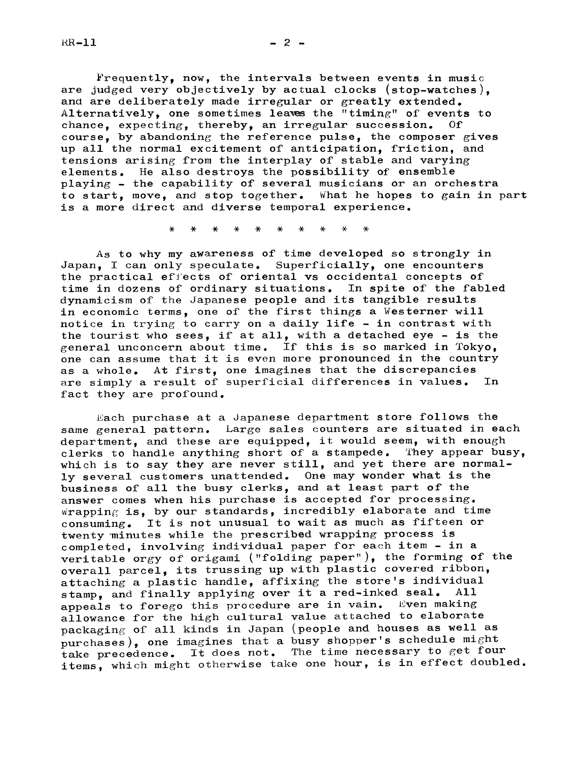$RR-11$ 

Frequently, now, the intervals between events in music are judged very objectively by actual clocks (stop-watches), and are deliberately made irregular or greatly extended. Alternatively, one sometimes leaves the "timing" of events to chance, expecting, thereby, an irregular succession. Of course, by abandoning the reference pulse, the composer gives up all the normal excitement of anticipation, friction, and tensions arising from the interplay of stable and varying elements. He also destroys the possibility of ensemble playing - the capability of several musicians or an orchestra to start, move, and stop together. What he hopes to gain in part is a more direct and diverse temporal experience.

As to why my awareness of time developed so strongly in Japan, I can only speculate. Superficially, one encounters the practical ef'ects of oriental vs occidental concepts of time in dozens of ordinary situations. In spite of the fabled dynamicism of the Japanese people and its tangible results in economic terms, one of the first things a Westerner will notice in trying to carry on a daily life  $-$  in contrast with the tourist who sees, if at all, with a detached eye - is the general unconcern about time. If this is so marked in Tokyo, one can assume that it is even more pronounced in the country as a whole. At first, one imagines that the discrepancies are simply a result of superficial differences in values. In fact they are profound.

Each purchase at a Japanese department store follows the same general pattern. Large sales counters are situated in each department, and these are equipped, it would seem, with enough clerks to handle anything short of a stampede. They appear busy. which is to say they are never still, and yet there are normally several customers unattended. One may wonder what is the business of all the busy clerks, and at least part of the answer comes when his purchase is accepted for processing.  $wrapping$  is, by our standards, incredibly elaborate and time consuming. It is not unusual to wait as much as fifteen or twenty "minutes while the prescribed wrapping process is completed, involving individual paper for each item - in a veritable orgy of origami ("folding paper"), the forming of the overall parcel, its trussing up with plastic covered ribbon, attaching a plastic handle, affixing the store's individual<br>stamp, and finally applying over it a red-inked seal. All stamp, and finally applying over it a red-inked seal. All<br>anneals to forego this procedure are in vain. Even making appeals to forego this procedure are in vain. allowance for the high cultural value attached to elaborate packaging of all kinds in Japan (people and houses as well as purchases), one imagines that a busy shopper's schedule might take precedence. It does not. The time necessary to get four items, which might otherwise take one hour, is in effect doubled.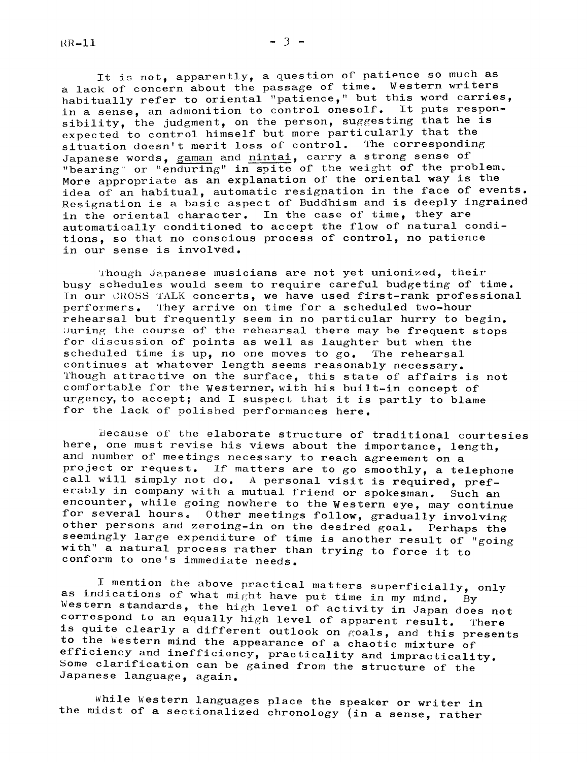It is not, apparently, <sup>a</sup> question of patience so much as <sup>a</sup> lack of concern about the passage of time. Western writers habitually refer to oriental "patience," but this word carries, in <sup>a</sup> sense, an admonition to control oneself. It puts responsibility, the judgment, on the person, suggesting that he is expected to control himself but more particularly that the situation doesn't merit loss of control. The corresponding Japanese words, gaman and nintai, carry a strong sense of "bearing" or "enduring" in spite of the weight of the problem. More appropriate as an explanation of the oriental way is the idea of an habitual, automatic resignation in the face of events. Resignation is a basic aspect of Buddhism and is deeply ingrained in the oriental character. In the case of time, they are automatically conditioned to accept the flow of natural conditions, so that no conscious process of control, no patience in our sense is involved.

Though Japanese musicians are not yet unionized, their busy schedules would seem to require careful budgeting of time. In our CROSS TALK concerts, we have used first-rank professional performers. 'l'hey arrive on time for a scheduled two-hour rehearsal but frequently seem in no particular hurry to begin. During the course of the rehearsal there may be frequent stops for discussion of points as well as laughter but when the scheduled time is up, no one moves to  $go$ . The rehearsal continues at whatever length seems reasonably necessary. Though attractive on the surface, this state of affairs is not comfortable for the Westerner, with his built-in concept of urgency, to accept; and I suspect that it is partly to blame for the lack of polished performances here.

Because of the elaborate structure of traditional courtesies here, one must revise his views about the importance, length, and number of meetings necessary to reach agreement on a project or request. If matters are to go smoothly, <sup>a</sup> telephone call will simply not do. A personal visit is required, preferably in company with <sup>a</sup> mutual friend or spokesman. Such an encounter, while going nowhere to the Western eye, may continue for several hours. Other meetings follow, gradually involving other persons and zeroing-in on the desired goal. Perhaps the seemingly large expenditure of time is another result of "going with" a natural process rather than trying to force it to conform to one's immediate needs.

I mention the above practical matters superficially, only as indications of what might have put time in my mind. By Western standards, the high level of activity in Japan does not<br>correspond to an equally high level of apparent result. There<br>is quite clearly a different outlook on goals, and this presents<br>to the Western mind the appear Japanese language, again.

While Western languages place the speaker or writer in the midst of <sup>a</sup> sectionalized chronology (in <sup>a</sup> sense, rather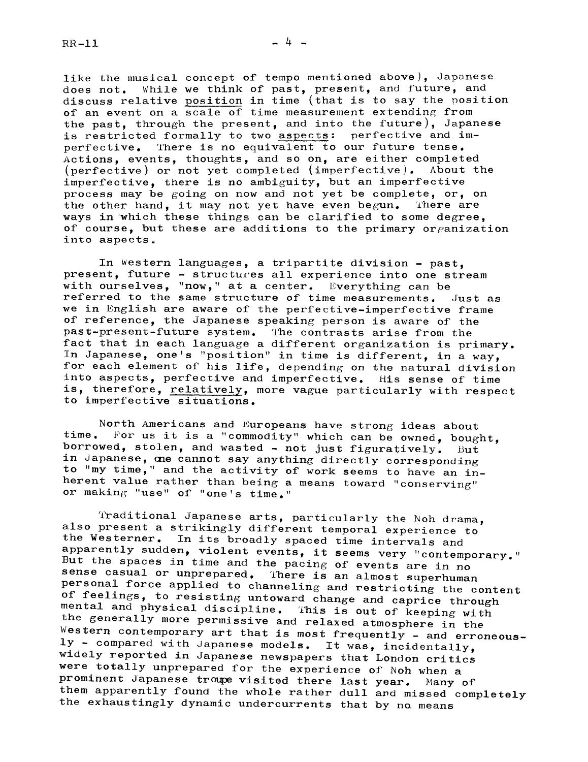like the musical concept of tempo mentioned above), Japanese does not. While we think of past, present, and future, and discuss relative position in time (that is to say the position of an event on a scale of time measurement extending from the past, through the present, and into the future), Japanese is restricted formally to two aspects: perfective and imperfective. There is no equivalent to our future tense. Actions, events, thoughts, and so on, are either completed (perfective) or not yet completed (imperfective). About the imperfective, there is no ambiguity, but an imperfective process may be going on now and not yet be complete, or, on the other hand, it may not yet have even begun. There are ways in which these things can be clarified to some degree, of course, but these are additions to the primary organization into aspects.

In Western languages, a tripartite division - past. present, future - structures all experience into one stream with ourselves, "now," at a center. Everything can be referred to the same structure of time measurements. Just as we in English are aware of the perfective-imperfective frame of reference, the Japanese speaking person is aware of the past-present-future system. The contrasts arise from the fact that in each language a different organization is primary. In Japanese, one's "position" in time is different, in a way, for each element of his life, depending on the natural division into aspects, perfective and imperfective. His sense of time is, therefore, relatively, more vague particularly with respect to imperfective situations.

North Americans and Europeans have strong ideas about time. For us it is a "commodity" which can be owned, bought, borrowed, stolen, and wasted - not just figuratively. But in Japanese, one cannot say anything directly corresponding to "my time," and the activity of work seems to have an inherent value rather than being <sup>a</sup> means toward "conserving" or making "use" of "one's time."

%aditional Japanese arts, particularly the Noh drama, also present <sup>a</sup> strikingly different temporal experience to the Westerner. In its broadly spaced time intervals and apparently sudden, violent events, it seems very "contemporary." Further spaces in time and the pacing of events are in no<br>sense casual or unprepared. There is an almost superhuman<br>personal force applied to channeling and restricting the content<br>of feelings, to resisting untoward change were totally unprepared for the experience of Noh when <sup>a</sup> prominent Japanese troupe visited there last year. Many of them apparently found the whole rather dull and missed completely the exhaustingly dynamic undercurrents that by no. means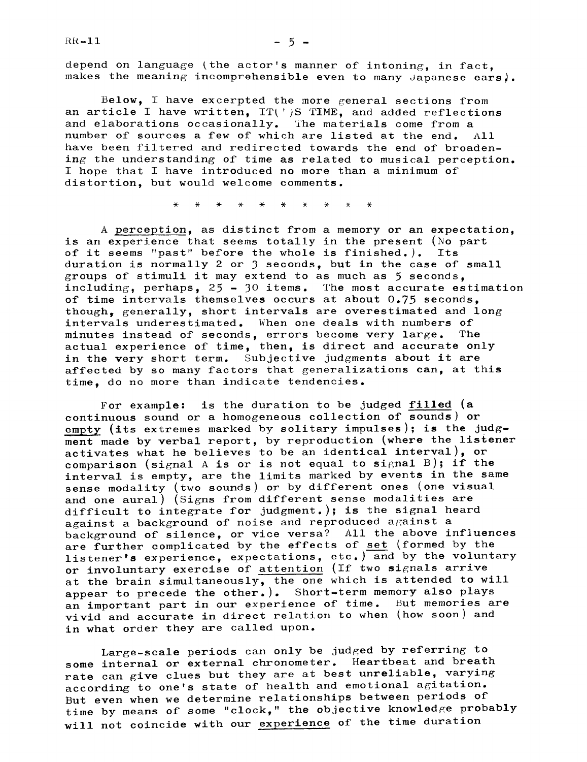$RR-11$ 

depend on language (the actor's manner of intoning, in fact, makes the meaning incomprehensible even to many Japanese ears).

Below, I have excerpted the more general sections from an article I have written,  $IT(')S$   $TIME$ , and added reflections and elaborations occasionally. The materials come from a number of sources a few of which are listed at the end. All have been filtered and redirected towards the end of broadening the understanding of time as related to musical perception. I hope that I have introduced no more than a minimum of distortion, but would welcome comments.

 $\ast$ 

A perception, as distinct from a memory or an expectation, is an experience that seems totally in the present (No part<br>of it seems "past" before the whole is finished.). Its of it seems "past" before the whole is finished.). duration is normally 2 or <sup>3</sup> seconds, but in the case of small groups of stimuli it may extend to as much as 5 seconds, including, perhaps,  $25 - 30$  items. The most accurate estimation of time intervals themselves occurs at about 0.75 seconds, though, generally, short intervals are overestimated and long intervals underestimated. When one deals with numbers of minutes instead of seconds, errors become very large. The actual experience of time, then, is direct and accurate only in the very short term. Subjective judgments about it are affected by so many factors that generalizations can, at this time, do no more than indicate tendencies.

For example: is the duration to be judged filled (a continuous sound or a homogeneous collection of sounds) or empty (its extremes marked by solitary impulses); is the judgment made by verbal report, by reproduction (where the listener activates what he believes to be an identical interval), or comparison (signal A is or is not equal to signal B); if the interval is empty, are the limits marked by events in the same sense modality (two sounds) or by different ones (one visual and one aural) (Signs from different sense modalities are difficult to integrate for judgment.); is the signal heard against a background of noise and reproduced against a background of silence, or vice versa? All the above influences are further complicated by the effects of set (formed by the listener's experience, expectations, etc.) and by the voluntary or involuntary exercise of attention (If two signals arrive at the brain simultaneously, the one which is attended to will appear to precede the other.). Short-term memory also plays an important part in our experience of time. But memories are vivid and accurate in direct relation to when (how soon) and in what order they are called upon.

Large-scale periods can only be judged by referring to some internal or external chronometer. Heartbeat and breath rate can give clues but they are at best unreliable, varying according to one's state of health and emotional agitation. But even when we determine relationships between periods of time by means of some "clock," the objective knowledge probably will not coincide with our experience of the time duration

 $-5 -$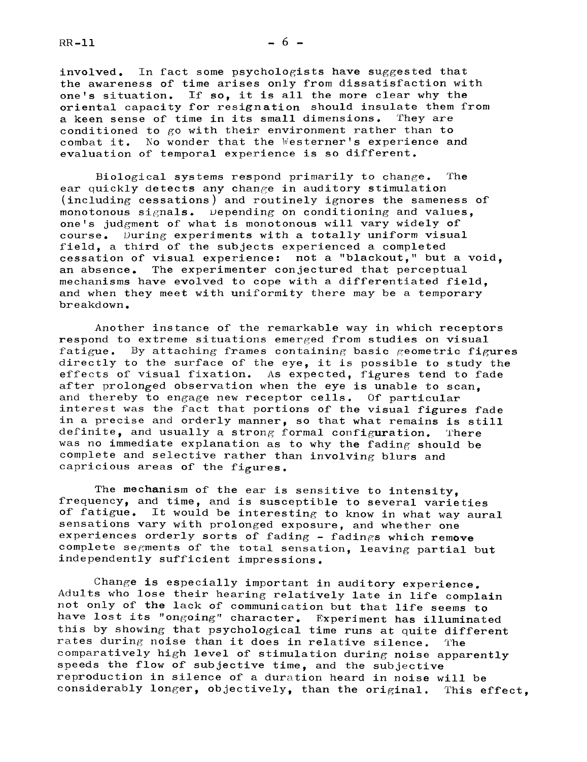$RR-11$   $-6$   $-$ 

involved. In fact some psychologists have suggested that the awareness of time arises only from dissatisfaction with one's situation. If so, it is all the more clear why the oriental capacity for resignation should insulate them from<br>a keen sense of time in its small dimensions. They are a keen sense of time in its small dimensions. conditioned to go with their environment rather than to combat it. No wonder that the Westerner's experience and evaluation of temporal experience is so different.

Biological systems respond primarily to change. The ear quickly detects any change in auditory stimulation (including cessations) and routinely ignores the sameness of monotonous signals. Depending on conditioning and values, one's judgment of what is monotonous will vary widely of course. During experiments with a totally uniform visual field, a third of the subjects experienced a completed cessation of visual experience: not a "blackout," but a void,<br>an absence. The experimenter conjectured that perceptual The experimenter conjectured that perceptual mechanisms have evolved to cope with a differentiated field, and when they meet with uniformity there may be a temporary breakdown.

Another instance of the remarkable way in which receptors respond to extreme situations emerged from studies on visual fatigue. By attaching frames containing basic geometric figures directly to the surface of the eye, it is possible to study the effects of visual fixation. As expected, figures tend to fade after prolonged observation when the eye is unable to scan. and thereby to engage new receptor cells. Of particular interest was the fact that portions of the visual figures fade in a precise and orderly manner, so that what remains is still definite, and usually a strong formal configuration. There was no immediate explanation as to why the fading should be complete and selective rather than involving blurs and capricious areas of the figures.

The mechanism of the ear is sensitive to intensity. frequency, and time, and is susceptible to several varieties of fatigue. It would be interesting to know in what way aural sensations vary with prolonged exposure, and whether one experiences orderly sorts of fading - fadings which remove complete segments of the total sensation, leaving partial but independently sufficient impressions.

Change is especially important in auditory experience. Adults who lose their hearing relatively late in life complain not only of the lack of communication but that life seems to have lost its "ongoing" character. Experiment has illuminated this by showing that psychological time runs at quite different rates during noise than it does in relative silence. The comparatively high level of stimulation during noise apparently speeds the flow of subjective time, and the subjective reproduction in silence of a duration heard in noise will be considerably longer, objectively, than the original. This effect,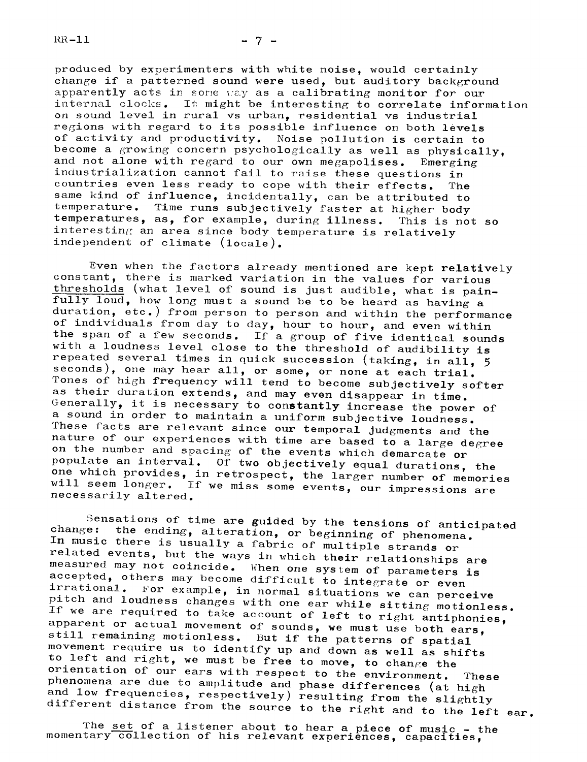$RR-11$ 

produced by experimenters with white noise, would certainly change if a patterned sound were used, but auditory background apparently acts in some way as a calibrating monitor for our internal clocks. It might be interesting to correlate information on sound level in rural vs urban, residential vs industrial regions with regard to its possible influence on both levels of activity and productivity. Noise pollution is certain to become a growing concern psychologically as well as physically. and not alone with regard to our own megapolises. Emerging industrialization cannot fail to raise these questions in countries even less ready to cope with their effects. The same kind of influence, incidentally, can be attributed to temperature. Time runs subjectively faster at higher body<br>temperatures, as, for example, during illness. This is not so temperatures, as, for example, during illness. interesting an area since body temperature is relatively independent of climate (locale).

Even when the factors already mentioned are kept relatively constant, there is marked variation in the values for various thresholds (what level of sound is just audible, what is pain- $\overline{\text{fully} \text{1}$   $\text{I}$   $\text{O}$   $\text{A}$   $\text{A}$   $\text{A}$   $\text{A}$   $\text{A}$   $\text{B}$   $\text{B}$   $\text{B}$   $\text{A}$   $\text{B}$   $\text{B}$   $\text{B}$   $\text{B}$   $\text{B}$   $\text{B}$   $\text{B}$   $\text{B}$   $\text{B}$   $\text{B}$   $\text{B}$   $\text{B}$   $\text{B}$   $\text{B}$   $\text{B$ duration, etc.) from person to person and within the performance of individuals from day to day, hour to hour, and even within the span of a few seconds. If a group of five identical sounds with <sup>a</sup> loudness level close to the threshold of audibility is repeated several times in quick succession (taking, in all, <sup>5</sup> seconds), one may hear all, or some, or none at each trial.<br>Tones of high frequency will tend to become subjectively softer<br>as their duration extends, and may even disappear in time. Generally, it is necessary to constantly increase the power of a sound in order to maintain a uniform subjective loudness. These facts are relevant since our temporal judgments and the nature of our experiences with time are based to a large degree on the number and spacing of the events which demarcate or populate an interval. Of two objectively equal durations, the one which provides, in retrospect, the larger number of memories<br>will seem longer. If we miss some events, our impressions are<br>necessarily altered.

Sensations of time are guided by the tensions of anticipated<br>change: the ending, alteration, or beginning of phenomena.<br>In music there is usually a fabric of multiple strands or<br>related events, but the ways in which their If we are required to take account of left to right antiphonies, apparent or actual movement of sounds, we must use both ears, still remaining motionless. But if the patterns of spatial<br>movement require us to identify up and down as well as shifts<br>to left and right, we must be free to move, to change the<br>orientation of our ears with respect to the

The set of a listener about to hear a piece of music - the momentary collection of his relevant experiences, capacities,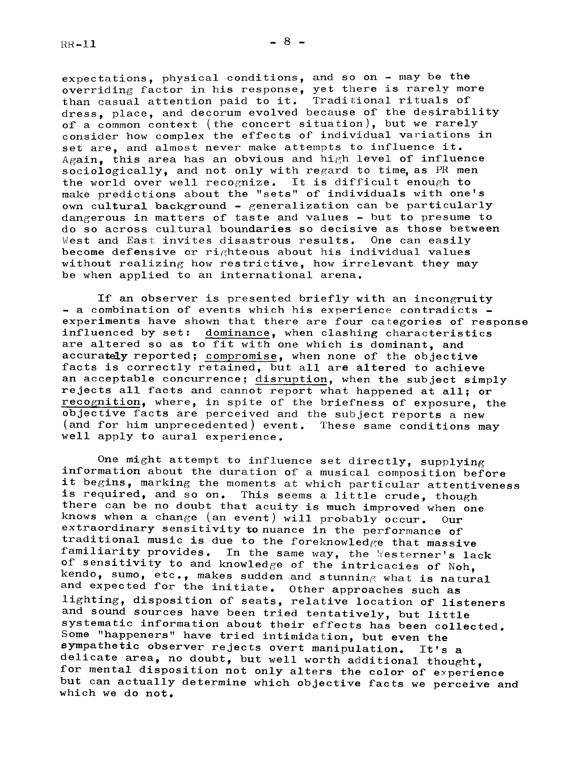expectations, physical conditions, and so on  $-$  may be the overriding factor in his response, yet there is rarely more than casual attention paid to it. Traditional rituals of dress, place, and decorum evolved because of the desirability of a common context (the concert situation), but we rarely consider how complex the effects of individual variations in set are, and almost never make attempts to influence it.  $Again.$  this area has an obvious and high level of influence sociologically, and not only with regard to time, as PR men the world over well recognize. It is difficult enough to make predictions about the "sets" of individuals with one's own cultural background  $-$  generalization can be particularly dangerous in matters of taste and values  $-$  but to presume to do so across cultural boundaries so decisive as those between West and East invites disastrous results. One can easily become defensive or righteous about his individual values without realizing how restrictive, how irrelevant they may be when applied to an international arena.

If an observer is presented briefly with an incongruity - a combination of events which his experience contradicts experiments have shown that there are four categories of response influenced by set: dominance, when clashing characteristics are altered so as to fit with one which is dominant, and accurately reported; compromise, when none of the objective facts is correctly retained, but all are altered to achieve an acceptable concurrence; disruption, when the subject simply rejects all facts and cannot report what happened at all; or recognition, where, in spite of the briefness of exposure, the objective facts are perceived and the subject reports a new (and for him unprecedented) event. These same conditions may well apply to aural experience.

One might attempt to influence set directly, supplying information about the duration of a musical composition before it begins, marking the moments at which particular attentiveness is required, and so on. This seems a little crude, though there can be no doubt that acuity is much improved when one knows when <sup>a</sup> change (an event) will probably occur. Our extraordinary sensitivity to nuance in the performance of traditional music is due to the foreknowledge that massive familiarity provides. In the same way, the Westerner's lack<br>of sensitivity to and knowledge of the intricacies of Noh, kendo, sumo, etc., makes sudden and stunning what is natural and expected for the initiate. Other approaches such as lighting, disposition of seats, relative location of listeners and sound sources have been tried tentatively, but little systematic information about their effects has been collected. Some "happeners" have tried intimidation, but even the sympathetic observer rejects overt manipulation. It's <sup>a</sup> delicate area, no doubt, but well worth additional thought,<br>for mental disposition not only alters the color of experience but can actually determine which objective facts we perceive and which we do not.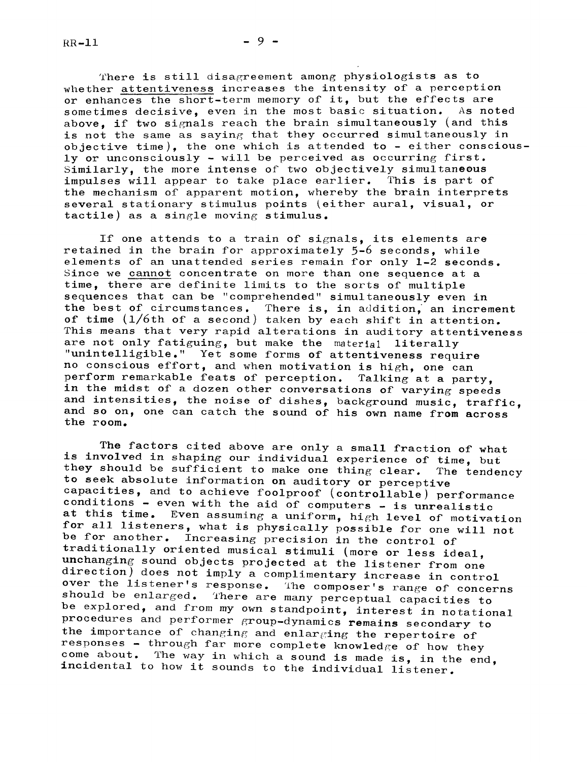$RR-11$   $-9-$ 

There is still disagreement among physiologists as to whether attentiveness increases the intensity of a perception or enhances the short-term memory of it, but the effects are<br>sometimes decisive, even in the most basic situation. As noted sometimes decisive, even in the most basic situation. above, if two signals reach the brain simultaneously (and this is not the same as saying that they occurred simultaneously in objective time), the one which is attended to - either consciously or unconsciously  $-$  will be perceived as occurring first. Similarly, the more intense of two objectively simultaneous impulses will appear to take place earlier. This is part of the mechanism of apparent motion, whereby the brain interprets several stationary stimulus points [either aural, visual, or tactile) as a single moving stimulus.

If one attends to a train of signals, its elements are retained in the brain for approximately 5-6 seconds, while elements of an unattended series remain for only 1-2 seconds. Since we cannot concentrate on more than one sequence at a time, there are definite limits to the sorts of multiple sequences that can be "comprehended" simultaneously even in the best of circumstances. There is, in addition, an increment of time (1/6th of a second) taken by each shift in attention. This means that very rapid alterations in auditory attentiveness are not only fatiguing, but make the material literally "unintelligible." Yet some forms of attentiveness require no conscious effort, and when motivation is high, one can perform remarkable feats of perception. Talking at a party, in the midst of a dozen other conversations of varying speeds and intensities, the noise of dishes, background music, traffic, and so on, one can catch the sound of his own name from across the room.

The factors cited above are only a small fraction of what is involved in shaping our individual experience of time, but they should be sufficient to make one thing clear. The tendency to seek absolute information on auditory or perceptive capacities, and to achieve foolproof (controllable) performance<br>conditions - even with the aid of computers - is unrealistic at this time. Even assuming a uniform, high level of motivation<br>for all listeners, what is physically possible for one will not<br>be for another. Increasing precision in the control of<br>traditionally oriented musical stimuli should be enlarged. There are many perceptual capacities to<br>be explored, and from my own standpoint, interest in notational<br>procedures and performer group-dynamics remains secondary to the importance of changing and enlarging the repertoire of responses - through far more complete knowledge of how they come about. The way in which a sound is made is, in the end, incidental to how it sounds to the individual listener.